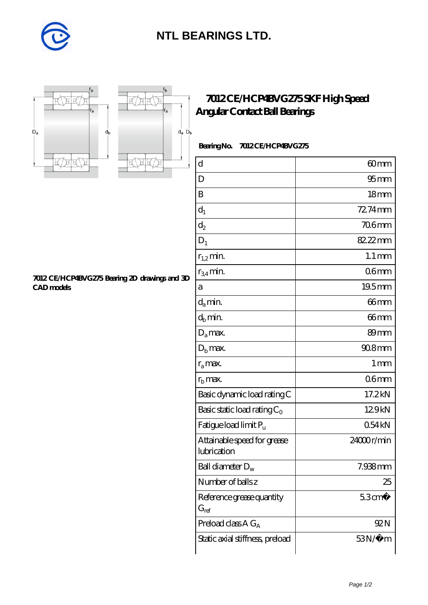

## **[NTL BEARINGS LTD.](https://m.diabetesfriends.net)**



**[CAD models](https://m.diabetesfriends.net/pic-590674.html)**



r<sub>b</sub>

**[7012 CE/HCP4BVG275 Bearing 2D drawings and 3D](https://m.diabetesfriends.net/pic-590674.html)**

## **[7012 CE/HCP4BVG275 SKF High Speed](https://m.diabetesfriends.net/skf-bearing/7012-ce-hcp4bvg275.html) [Angular Contact Ball Bearings](https://m.diabetesfriends.net/skf-bearing/7012-ce-hcp4bvg275.html)**

 **Bearing No. 7012 CE/HCP4BVG275**

| $\rm d$                                    | 60 <sub>mm</sub>    |
|--------------------------------------------|---------------------|
| D                                          | 95 <sub>mm</sub>    |
| B                                          | 18 <sub>mm</sub>    |
| $d_1$                                      | 72.74mm             |
| $d_2$                                      | <b>706mm</b>        |
| $D_1$                                      | 82.22mm             |
| $r_{1,2}$ min.                             | $1.1 \,\mathrm{mm}$ |
| $r_{34}$ min.                              | 06 <sub>mm</sub>    |
| а                                          | 19.5mm              |
| $d_a$ min.                                 | 66mm                |
| $d_b$ min.                                 | 66mm                |
| $D_a$ max.                                 | 89 <sub>mm</sub>    |
| $Db$ max.                                  | 90.8mm              |
| $r_a$ max.                                 | $1 \,\mathrm{mm}$   |
| $rb$ max.                                  | 06 <sub>mm</sub>    |
| Basic dynamic load rating C                | 17.2kN              |
| Basic static load rating $C_0$             | 129kN               |
| Fatigue load limit P <sub>u</sub>          | 054kN               |
| Attainable speed for grease<br>lubrication | 24000r/min          |
| Ball diameter $D_w$                        | 7.938mm             |
| Number of balls z                          | 25                  |
| Reference grease quantity<br>$G_{ref}$     | $53 \text{cm}^3$    |
| Preload class $A G_A$                      | 92 N                |
| Static axial stiffness, preload            | $53N/\mu$ m         |